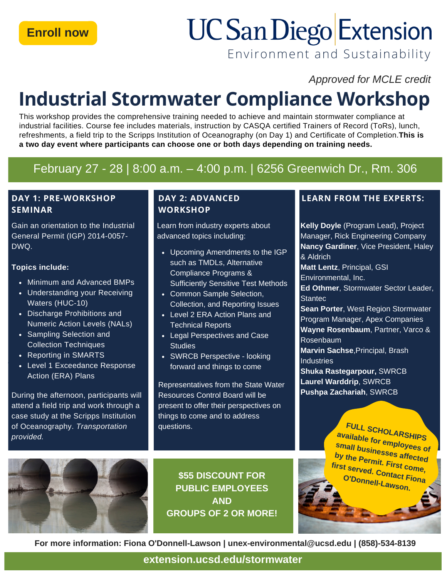# **UC San Diego Extension**

Environment and Sustainability

*Approved for MCLE credit*

# **Industrial Stormwater Compliance Workshop**

This workshop provides the comprehensive training needed to achieve and maintain stormwater compliance at industrial facilities. Course fee includes materials, instruction by CASQA certified Trainers of Record (ToRs), lunch, refreshments, a field trip to the Scripps Institution of Oceanography (on Day 1) and Certificate of Completion.**This is a two day event where participants can choose one or both days depending on training needs.**

### February 27 - 28 | 8:00 a.m. – 4:00 p.m. | 6256 Greenwich Dr., Rm. 306

#### **DAY 1: PRE-WORKSHOP SEMINAR**

Gain an orientation to the Industrial General Permit (IGP) 2014-0057- DWQ.

#### **Topics include:**

- Minimum and Advanced BMPs
- Understanding your Receiving Waters (HUC-10)
- Discharge Prohibitions and Numeric Action Levels (NALs)
- Sampling Selection and Collection Techniques
- Reporting in SMARTS
- Level 1 Exceedance Response Action (ERA) Plans

During the afternoon, participants will attend a field trip and work through a case study at the Scripps Institution of Oceanography. *Transportation provided.*



Learn from industry experts about advanced topics including:

- Upcoming Amendments to the IGP such as TMDLs, Alternative Compliance Programs & Sufficiently Sensitive Test Methods
- Common Sample Selection, Collection, and Reporting Issues
- Level 2 ERA Action Plans and Technical Reports
- Legal Perspectives and Case **Studies**
- SWRCB Perspective looking forward and things to come

Representatives from the State Water Resources Control Board will be present to offer their perspectives on things to come and to address questions.

**\$55 DISCOUNT FOR PUBLIC EMPLOYEES AND GROUPS OF 2 OR MORE!**

#### **DAY 2: ADVANCED LEARN FROM THE EXPERTS:**

**Kelly Doyle** (Program Lead), Project Manager, Rick Engineering Company **Nancy Gardiner**, Vice President, Haley & Aldrich **Matt Lentz**, Principal, GSI Environmental, Inc. **Ed Othmer**, Stormwater Sector Leader, **Stantec** 

**Sean Porter**, West Region Stormwater Program Manager, Apex Companies **Wayne Rosenbaum**, Partner, Varco & Rosenbaum

**Marvin Sachse**,Principal, Brash **Industries** 

**Shuka Rastegarpour,** SWRCB **Laurel Warddrip**, SWRCB **Pushpa Zachariah**, SWRCB

**C**<sup>D</sup>ODODDOU<sub>L</sub></sub> **lightlawson. FULL SCHOLARSHIPS available for employees of small businesses affected by the Permit. First come, s er v e d first O 'D o n n e . Contact Fiona**

University of the Sea and Constitution of the Constitution of the Constitution of the Constitution of the Constitution of the Constitution of the Constitution of the Constitution of the Constitution of the Constitution of

(858) 534-9153

**For more information: Fiona O'Donnell-Lawson | unex-environmental@ucsd.edu | (858)-534-8139**

**[extension.ucsd.edu/stormwater](https://extension.ucsd.edu/courses-and-programs/industrial-stormwater-compliance-workshop) p p**